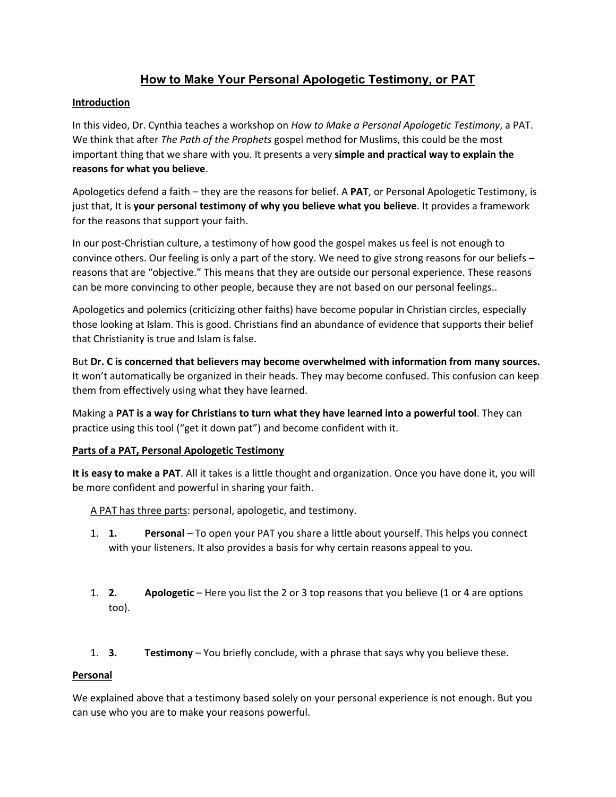# **How to Make Your Personal Apologetic Testimony, or PAT**

# **Introduction**

In this video, Dr. Cynthia teaches a workshop on *How to Make a Personal Apologetic Testimony*, a PAT. We think that after *The Path of the Prophets* gospel method for Muslims, this could be the most important thing that we share with you. It presents a very **simple and practical way to explain the reasons for what you believe**.

Apologetics defend a faith – they are the reasons for belief. A **PAT**, or Personal Apologetic Testimony, is just that, It is **your personal testimony of why you believe what you believe**. It provides a framework for the reasons that support your faith.

In our post-Christian culture, a testimony of how good the gospel makes us feel is not enough to convince others. Our feeling is only a part of the story. We need to give strong reasons for our beliefs – reasons that are "objective." This means that they are outside our personal experience. These reasons can be more convincing to other people, because they are not based on our personal feelings..

Apologetics and polemics (criticizing other faiths) have become popular in Christian circles, especially those looking at Islam. This is good. Christians find an abundance of evidence that supports their belief that Christianity is true and Islam is false.

But **Dr. C is concerned that believers may become overwhelmed with information from many sources.** It won't automatically be organized in their heads. They may become confused. This confusion can keep them from effectively using what they have learned.

Making a **PAT is a way for Christians to turn what they have learned into a powerful tool**. They can practice using this tool ("get it down pat") and become confident with it.

# **Parts of a PAT, Personal Apologetic Testimony**

**It is easy to make a PAT**. All it takes is a little thought and organization. Once you have done it, you will be more confident and powerful in sharing your faith.

A PAT has three parts: personal, apologetic, and testimony.

- 1. **1. Personal** To open your PAT you share a little about yourself. This helps you connect with your listeners. It also provides a basis for why certain reasons appeal to you.
- 1. **2. Apologetic** Here you list the 2 or 3 top reasons that you believe (1 or 4 are options too).
- 1. **3. Testimony** You briefly conclude, with a phrase that says why you believe these.

#### **Personal**

We explained above that a testimony based solely on your personal experience is not enough. But you can use who you are to make your reasons powerful.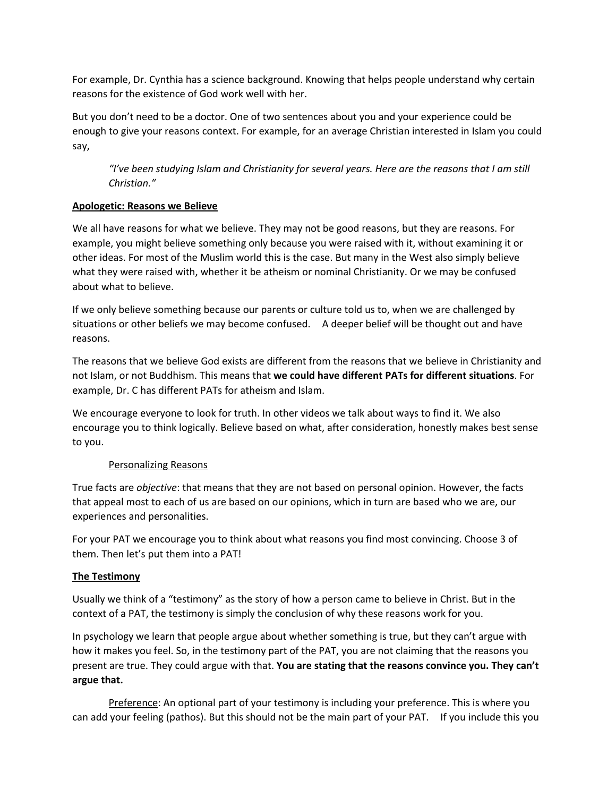For example, Dr. Cynthia has a science background. Knowing that helps people understand why certain reasons for the existence of God work well with her.

But you don't need to be a doctor. One of two sentences about you and your experience could be enough to give your reasons context. For example, for an average Christian interested in Islam you could say,

*"I've been studying Islam and Christianity for several years. Here are the reasons that I am still Christian."*

# **Apologetic: Reasons we Believe**

We all have reasons for what we believe. They may not be good reasons, but they are reasons. For example, you might believe something only because you were raised with it, without examining it or other ideas. For most of the Muslim world this is the case. But many in the West also simply believe what they were raised with, whether it be atheism or nominal Christianity. Or we may be confused about what to believe.

If we only believe something because our parents or culture told us to, when we are challenged by situations or other beliefs we may become confused. A deeper belief will be thought out and have reasons.

The reasons that we believe God exists are different from the reasons that we believe in Christianity and not Islam, or not Buddhism. This means that **we could have different PATs for different situations**. For example, Dr. C has different PATs for atheism and Islam.

We encourage everyone to look for truth. In other videos we talk about ways to find it. We also encourage you to think logically. Believe based on what, after consideration, honestly makes best sense to you.

#### Personalizing Reasons

True facts are *objective*: that means that they are not based on personal opinion. However, the facts that appeal most to each of us are based on our opinions, which in turn are based who we are, our experiences and personalities.

For your PAT we encourage you to think about what reasons you find most convincing. Choose 3 of them. Then let's put them into a PAT!

# **The Testimony**

Usually we think of a "testimony" as the story of how a person came to believe in Christ. But in the context of a PAT, the testimony is simply the conclusion of why these reasons work for you.

In psychology we learn that people argue about whether something is true, but they can't argue with how it makes you feel. So, in the testimony part of the PAT, you are not claiming that the reasons you present are true. They could argue with that. **You are stating that the reasons convince you. They can't argue that.**

Preference: An optional part of your testimony is including your preference. This is where you can add your feeling (pathos). But this should not be the main part of your PAT. If you include this you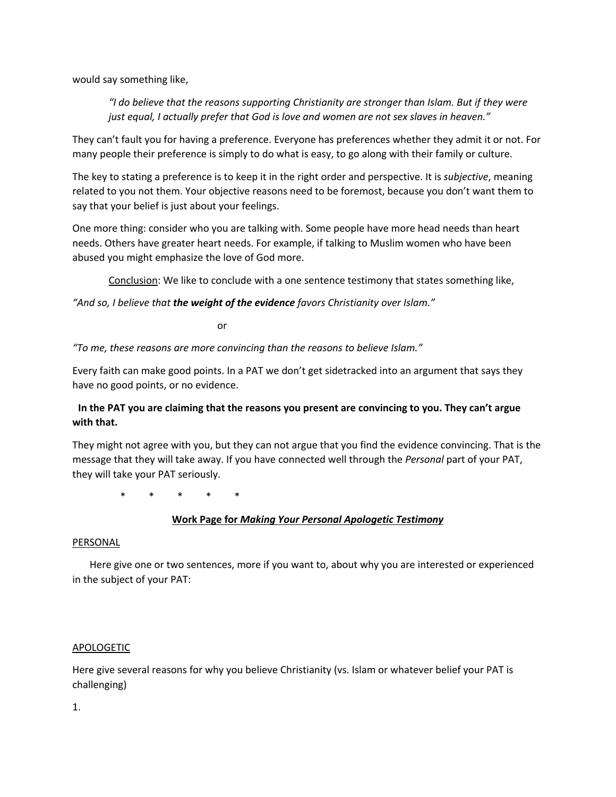would say something like,

*"I do believe that the reasons supporting Christianity are stronger than Islam. But if they were just equal, I actually prefer that God is love and women are not sex slaves in heaven."*

They can't fault you for having a preference. Everyone has preferences whether they admit it or not. For many people their preference is simply to do what is easy, to go along with their family or culture.

The key to stating a preference is to keep it in the right order and perspective. It is *subjective*, meaning related to you not them. Your objective reasons need to be foremost, because you don't want them to say that your belief is just about your feelings.

One more thing: consider who you are talking with. Some people have more head needs than heart needs. Others have greater heart needs. For example, if talking to Muslim women who have been abused you might emphasize the love of God more.

Conclusion: We like to conclude with a one sentence testimony that states something like,

*"And so, I believe that the weight of the evidence favors Christianity over Islam."*

or

*"To me, these reasons are more convincing than the reasons to believe Islam."*

Every faith can make good points. In a PAT we don't get sidetracked into an argument that says they have no good points, or no evidence.

# **In the PAT you are claiming that the reasons you present are convincing to you. They can't argue with that.**

They might not agree with you, but they can not argue that you find the evidence convincing. That is the message that they will take away. If you have connected well through the *Personal* part of your PAT, they will take your PAT seriously.

\* \* \* \* \*

#### **Work Page for** *Making Your Personal Apologetic Testimony*

#### PERSONAL

 Here give one or two sentences, more if you want to, about why you are interested or experienced in the subject of your PAT:

#### APOLOGETIC

Here give several reasons for why you believe Christianity (vs. Islam or whatever belief your PAT is challenging)

1.